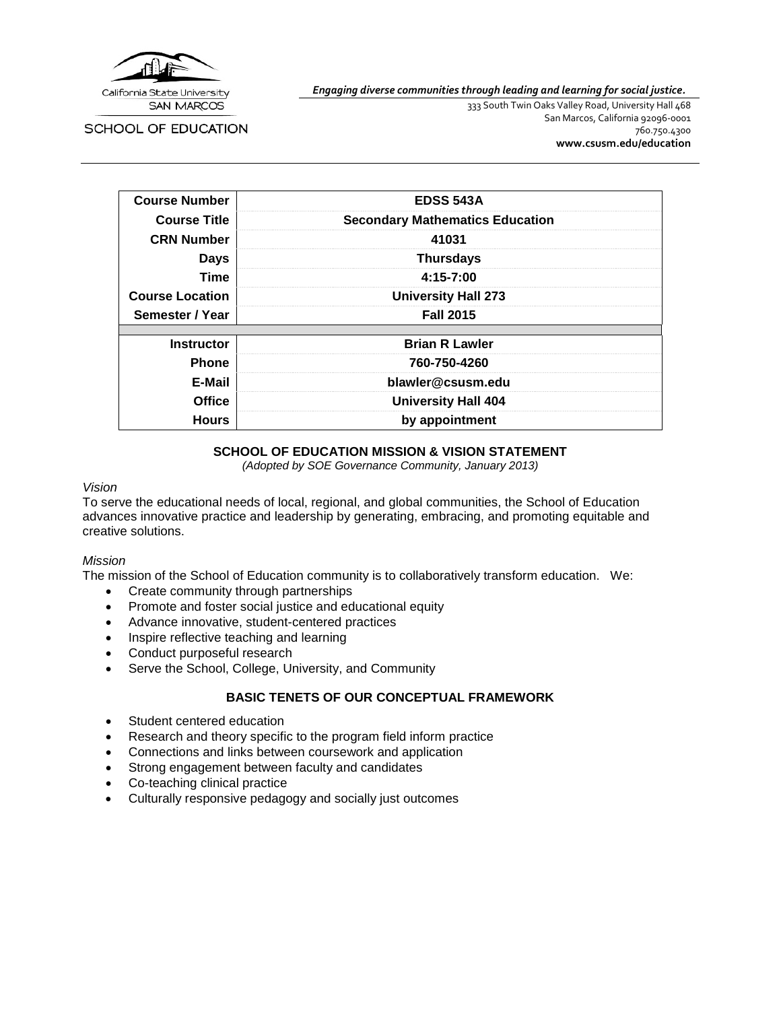

*Engaging diverse communities through leading and learning for social justice.*

**SCHOOL OF EDUCATION** 

333 South Twin Oaks Valley Road, University Hall 468 San Marcos, California 92096-0001 760.750.4300 **[www.csusm.edu/education](http://www.csusm.edu/education)**

| <b>Course Number</b>   | <b>EDSS 543A</b>                       |  |
|------------------------|----------------------------------------|--|
| <b>Course Title</b>    | <b>Secondary Mathematics Education</b> |  |
| <b>CRN Number</b>      | 41031                                  |  |
| <b>Days</b>            | <b>Thursdays</b>                       |  |
| <b>Time</b>            | $4:15 - 7:00$                          |  |
| <b>Course Location</b> | <b>University Hall 273</b>             |  |
| Semester / Year        | <b>Fall 2015</b>                       |  |
|                        |                                        |  |
| <b>Instructor</b>      | <b>Brian R Lawler</b>                  |  |
| <b>Phone</b>           | 760-750-4260                           |  |
| E-Mail                 | blawler@csusm.edu                      |  |
| Office                 | <b>University Hall 404</b>             |  |
| <b>Hours</b>           | by appointment                         |  |

### **SCHOOL OF EDUCATION MISSION & VISION STATEMENT**

*(Adopted by SOE Governance Community, January 2013)*

#### *Vision*

To serve the educational needs of local, regional, and global communities, the School of Education advances innovative practice and leadership by generating, embracing, and promoting equitable and creative solutions.

#### *Mission*

The mission of the School of Education community is to collaboratively transform education. We:

- Create community through partnerships
- Promote and foster social justice and educational equity
- Advance innovative, student-centered practices
- Inspire reflective teaching and learning
- Conduct purposeful research
- Serve the School, College, University, and Community

# **BASIC TENETS OF OUR CONCEPTUAL FRAMEWORK**

- Student centered education
- Research and theory specific to the program field inform practice
- Connections and links between coursework and application
- Strong engagement between faculty and candidates
- Co-teaching clinical practice
- Culturally responsive pedagogy and socially just outcomes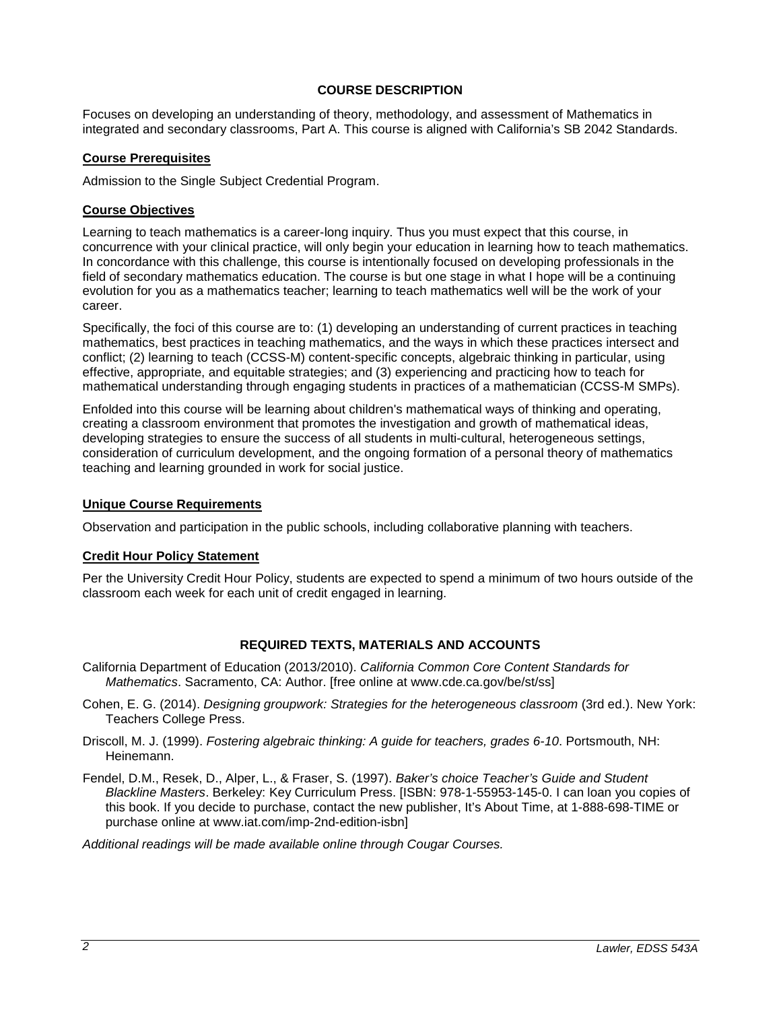# **COURSE DESCRIPTION**

Focuses on developing an understanding of theory, methodology, and assessment of Mathematics in integrated and secondary classrooms, Part A. This course is aligned with California's SB 2042 Standards.

# **Course Prerequisites**

Admission to the Single Subject Credential Program.

### **Course Objectives**

Learning to teach mathematics is a career-long inquiry. Thus you must expect that this course, in concurrence with your clinical practice, will only begin your education in learning how to teach mathematics. In concordance with this challenge, this course is intentionally focused on developing professionals in the field of secondary mathematics education. The course is but one stage in what I hope will be a continuing evolution for you as a mathematics teacher; learning to teach mathematics well will be the work of your career.

Specifically, the foci of this course are to: (1) developing an understanding of current practices in teaching mathematics, best practices in teaching mathematics, and the ways in which these practices intersect and conflict; (2) learning to teach (CCSS-M) content-specific concepts, algebraic thinking in particular, using effective, appropriate, and equitable strategies; and (3) experiencing and practicing how to teach for mathematical understanding through engaging students in practices of a mathematician (CCSS-M SMPs).

Enfolded into this course will be learning about children's mathematical ways of thinking and operating, creating a classroom environment that promotes the investigation and growth of mathematical ideas, developing strategies to ensure the success of all students in multi-cultural, heterogeneous settings, consideration of curriculum development, and the ongoing formation of a personal theory of mathematics teaching and learning grounded in work for social justice.

### **Unique Course Requirements**

Observation and participation in the public schools, including collaborative planning with teachers.

# **Credit Hour Policy Statement**

Per the University Credit Hour Policy, students are expected to spend a minimum of two hours outside of the classroom each week for each unit of credit engaged in learning.

# **REQUIRED TEXTS, MATERIALS AND ACCOUNTS**

- California Department of Education (2013/2010). *California Common Core Content Standards for Mathematics*. Sacramento, CA: Author. [free online at www.cde.ca.gov/be/st/ss]
- Cohen, E. G. (2014). *Designing groupwork: Strategies for the heterogeneous classroom* (3rd ed.). New York: Teachers College Press.
- Driscoll, M. J. (1999). *Fostering algebraic thinking: A guide for teachers, grades 6-10*. Portsmouth, NH: Heinemann.
- Fendel, D.M., Resek, D., Alper, L., & Fraser, S. (1997). *Baker's choice Teacher's Guide and Student Blackline Masters*. Berkeley: Key Curriculum Press. [ISBN: 978-1-55953-145-0. I can loan you copies of this book. If you decide to purchase, contact the new publisher, It's About Time, at 1-888-698-TIME or purchase online at www.iat.com/imp-2nd-edition-isbn]

*Additional readings will be made available online through Cougar Courses.*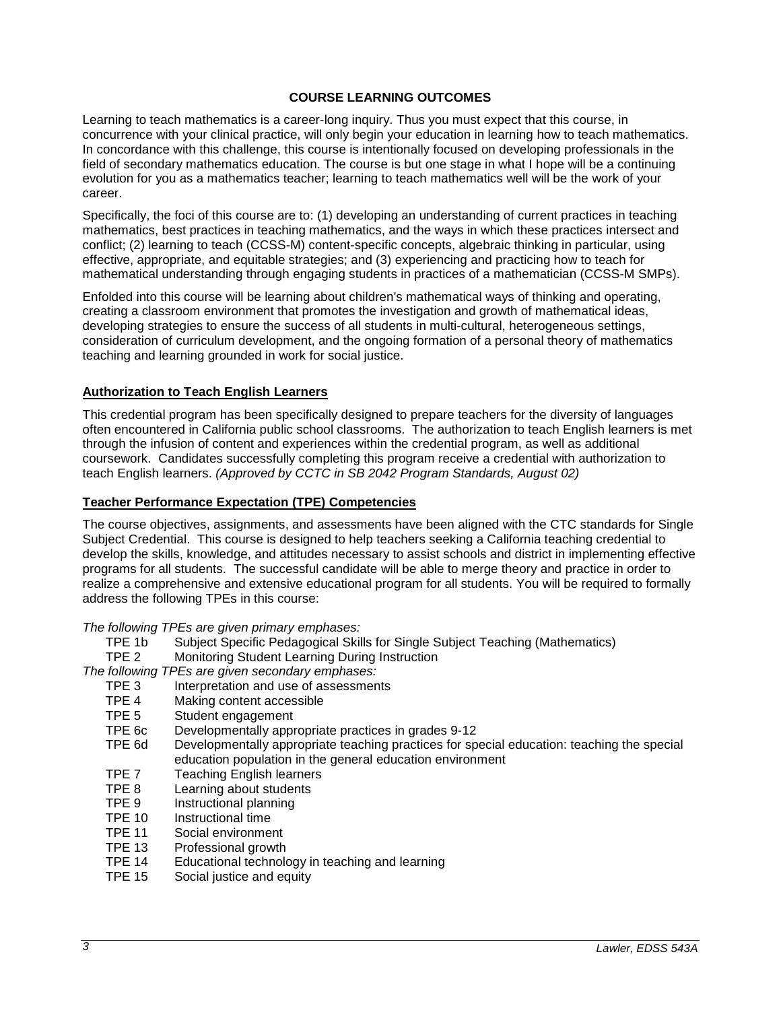# **COURSE LEARNING OUTCOMES**

Learning to teach mathematics is a career-long inquiry. Thus you must expect that this course, in concurrence with your clinical practice, will only begin your education in learning how to teach mathematics. In concordance with this challenge, this course is intentionally focused on developing professionals in the field of secondary mathematics education. The course is but one stage in what I hope will be a continuing evolution for you as a mathematics teacher; learning to teach mathematics well will be the work of your career.

Specifically, the foci of this course are to: (1) developing an understanding of current practices in teaching mathematics, best practices in teaching mathematics, and the ways in which these practices intersect and conflict; (2) learning to teach (CCSS-M) content-specific concepts, algebraic thinking in particular, using effective, appropriate, and equitable strategies; and (3) experiencing and practicing how to teach for mathematical understanding through engaging students in practices of a mathematician (CCSS-M SMPs).

Enfolded into this course will be learning about children's mathematical ways of thinking and operating, creating a classroom environment that promotes the investigation and growth of mathematical ideas, developing strategies to ensure the success of all students in multi-cultural, heterogeneous settings, consideration of curriculum development, and the ongoing formation of a personal theory of mathematics teaching and learning grounded in work for social justice.

### **Authorization to Teach English Learners**

This credential program has been specifically designed to prepare teachers for the diversity of languages often encountered in California public school classrooms. The authorization to teach English learners is met through the infusion of content and experiences within the credential program, as well as additional coursework. Candidates successfully completing this program receive a credential with authorization to teach English learners. *(Approved by CCTC in SB 2042 Program Standards, August 02)*

### **Teacher Performance Expectation (TPE) Competencies**

The course objectives, assignments, and assessments have been aligned with the CTC standards for Single Subject Credential. This course is designed to help teachers seeking a California teaching credential to develop the skills, knowledge, and attitudes necessary to assist schools and district in implementing effective programs for all students. The successful candidate will be able to merge theory and practice in order to realize a comprehensive and extensive educational program for all students. You will be required to formally address the following TPEs in this course:

*The following TPEs are given primary emphases:*

- TPE 1b Subject Specific Pedagogical Skills for Single Subject Teaching (Mathematics)
- Monitoring Student Learning During Instruction

*The following TPEs are given secondary emphases:*

- TPE 3 Interpretation and use of assessments<br>TPE 4 Making content accessible
- TPE 4 Making content accessible<br>TPE 5 Student engagement
- Student engagement
- TPE 6c Developmentally appropriate practices in grades 9-12<br>TPE 6d Developmentally appropriate teaching practices for sp
- Developmentally appropriate teaching practices for special education: teaching the special education population in the general education environment
- TPE 7 Teaching English learners<br>TPF 8 Learning about students
- Learning about students
- TPE 9 Instructional planning
- TPE 10 Instructional time<br>TPF 11 Social environme
- TPE 11 Social environment<br>TPE 13 Professional growth
- TPE 13 Professional growth<br>TPE 14 Educational technology
- TPE 14 Educational technology in teaching and learning<br>TPF 15 Social justice and equity
- Social justice and equity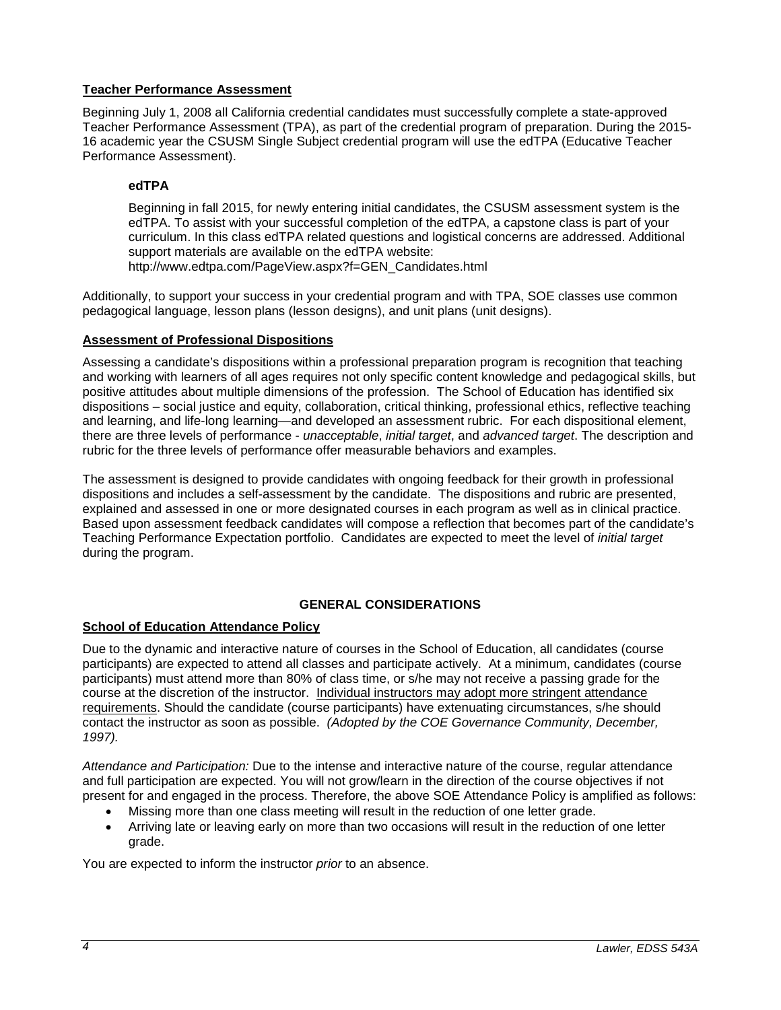# **Teacher Performance Assessment**

Beginning July 1, 2008 all California credential candidates must successfully complete a state-approved Teacher Performance Assessment (TPA), as part of the credential program of preparation. During the 2015- 16 academic year the CSUSM Single Subject credential program will use the edTPA (Educative Teacher Performance Assessment).

# **edTPA**

Beginning in fall 2015, for newly entering initial candidates, the CSUSM assessment system is the edTPA. To assist with your successful completion of the edTPA, a capstone class is part of your curriculum. In this class edTPA related questions and logistical concerns are addressed. Additional support materials are available on the edTPA website:

http://www.edtpa.com/PageView.aspx?f=GEN\_Candidates.html

Additionally, to support your success in your credential program and with TPA, SOE classes use common pedagogical language, lesson plans (lesson designs), and unit plans (unit designs).

# **Assessment of Professional Dispositions**

Assessing a candidate's dispositions within a professional preparation program is recognition that teaching and working with learners of all ages requires not only specific content knowledge and pedagogical skills, but positive attitudes about multiple dimensions of the profession. The School of Education has identified six dispositions – social justice and equity, collaboration, critical thinking, professional ethics, reflective teaching and learning, and life-long learning—and developed an assessment rubric. For each dispositional element, there are three levels of performance - *unacceptable*, *initial target*, and *advanced target*. The description and rubric for the three levels of performance offer measurable behaviors and examples.

The assessment is designed to provide candidates with ongoing feedback for their growth in professional dispositions and includes a self-assessment by the candidate. The dispositions and rubric are presented, explained and assessed in one or more designated courses in each program as well as in clinical practice. Based upon assessment feedback candidates will compose a reflection that becomes part of the candidate's Teaching Performance Expectation portfolio. Candidates are expected to meet the level of *initial target* during the program.

# **GENERAL CONSIDERATIONS**

# **School of Education Attendance Policy**

Due to the dynamic and interactive nature of courses in the School of Education, all candidates (course participants) are expected to attend all classes and participate actively. At a minimum, candidates (course participants) must attend more than 80% of class time, or s/he may not receive a passing grade for the course at the discretion of the instructor. Individual instructors may adopt more stringent attendance requirements. Should the candidate (course participants) have extenuating circumstances, s/he should contact the instructor as soon as possible. *(Adopted by the COE Governance Community, December, 1997).*

*Attendance and Participation:* Due to the intense and interactive nature of the course, regular attendance and full participation are expected. You will not grow/learn in the direction of the course objectives if not present for and engaged in the process. Therefore, the above SOE Attendance Policy is amplified as follows:

- Missing more than one class meeting will result in the reduction of one letter grade.
- Arriving late or leaving early on more than two occasions will result in the reduction of one letter grade.

You are expected to inform the instructor *prior* to an absence.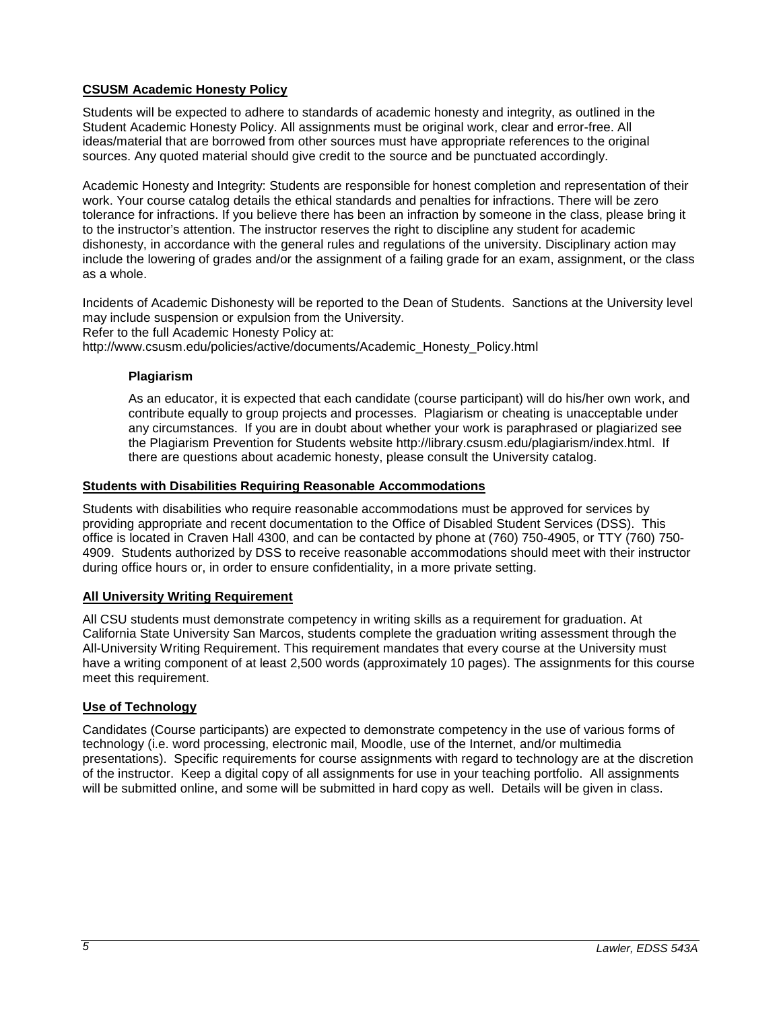# **CSUSM Academic Honesty Policy**

Students will be expected to adhere to standards of academic honesty and integrity, as outlined in the Student Academic Honesty Policy. All assignments must be original work, clear and error-free. All ideas/material that are borrowed from other sources must have appropriate references to the original sources. Any quoted material should give credit to the source and be punctuated accordingly.

Academic Honesty and Integrity: Students are responsible for honest completion and representation of their work. Your course catalog details the ethical standards and penalties for infractions. There will be zero tolerance for infractions. If you believe there has been an infraction by someone in the class, please bring it to the instructor's attention. The instructor reserves the right to discipline any student for academic dishonesty, in accordance with the general rules and regulations of the university. Disciplinary action may include the lowering of grades and/or the assignment of a failing grade for an exam, assignment, or the class as a whole.

Incidents of Academic Dishonesty will be reported to the Dean of Students. Sanctions at the University level may include suspension or expulsion from the University. Refer to the full Academic Honesty Policy at:

http://www.csusm.edu/policies/active/documents/Academic\_Honesty\_Policy.html

### **Plagiarism**

As an educator, it is expected that each candidate (course participant) will do his/her own work, and contribute equally to group projects and processes. Plagiarism or cheating is unacceptable under any circumstances. If you are in doubt about whether your work is paraphrased or plagiarized see the Plagiarism Prevention for Students website http://library.csusm.edu/plagiarism/index.html. If there are questions about academic honesty, please consult the University catalog.

### **Students with Disabilities Requiring Reasonable Accommodations**

Students with disabilities who require reasonable accommodations must be approved for services by providing appropriate and recent documentation to the Office of Disabled Student Services (DSS). This office is located in Craven Hall 4300, and can be contacted by phone at (760) 750-4905, or TTY (760) 750- 4909. Students authorized by DSS to receive reasonable accommodations should meet with their instructor during office hours or, in order to ensure confidentiality, in a more private setting.

# **All University Writing Requirement**

All CSU students must demonstrate competency in writing skills as a requirement for graduation. At California State University San Marcos, students complete the graduation writing assessment through the All-University Writing Requirement. This requirement mandates that every course at the University must have a writing component of at least 2,500 words (approximately 10 pages). The assignments for this course meet this requirement.

# **Use of Technology**

Candidates (Course participants) are expected to demonstrate competency in the use of various forms of technology (i.e. word processing, electronic mail, Moodle, use of the Internet, and/or multimedia presentations). Specific requirements for course assignments with regard to technology are at the discretion of the instructor. Keep a digital copy of all assignments for use in your teaching portfolio. All assignments will be submitted online, and some will be submitted in hard copy as well. Details will be given in class.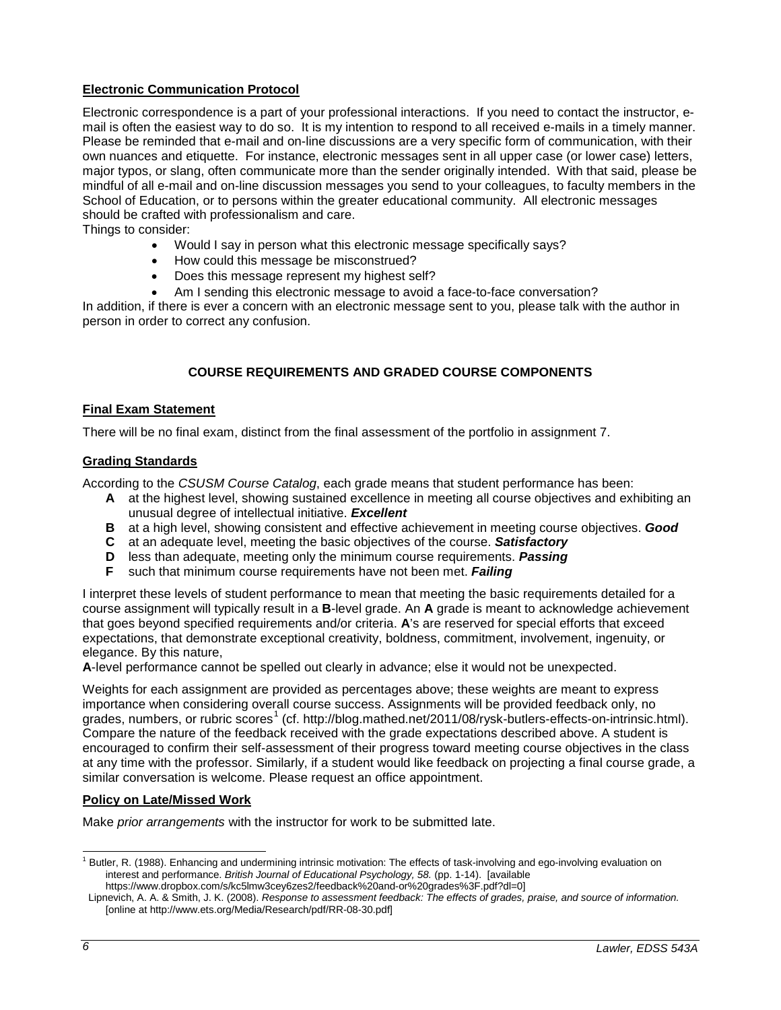# **Electronic Communication Protocol**

Electronic correspondence is a part of your professional interactions. If you need to contact the instructor, email is often the easiest way to do so. It is my intention to respond to all received e-mails in a timely manner. Please be reminded that e-mail and on-line discussions are a very specific form of communication, with their own nuances and etiquette. For instance, electronic messages sent in all upper case (or lower case) letters, major typos, or slang, often communicate more than the sender originally intended. With that said, please be mindful of all e-mail and on-line discussion messages you send to your colleagues, to faculty members in the School of Education, or to persons within the greater educational community. All electronic messages should be crafted with professionalism and care.

Things to consider:

- Would I say in person what this electronic message specifically says?
- How could this message be misconstrued?
- Does this message represent my highest self?
- Am I sending this electronic message to avoid a face-to-face conversation?

In addition, if there is ever a concern with an electronic message sent to you, please talk with the author in person in order to correct any confusion.

# **COURSE REQUIREMENTS AND GRADED COURSE COMPONENTS**

### **Final Exam Statement**

There will be no final exam, distinct from the final assessment of the portfolio in assignment 7.

### **Grading Standards**

According to the *CSUSM Course Catalog*, each grade means that student performance has been:

- **A** at the highest level, showing sustained excellence in meeting all course objectives and exhibiting an unusual degree of intellectual initiative. *Excellent*
- **B** at a high level, showing consistent and effective achievement in meeting course objectives. *Good*
- **C** at an adequate level, meeting the basic objectives of the course. *Satisfactory*
- **D** less than adequate, meeting only the minimum course requirements. **Passing**<br>**F** such that minimum course requirements have not been met. **Failing**
- **F** such that minimum course requirements have not been met. *Failing*

I interpret these levels of student performance to mean that meeting the basic requirements detailed for a course assignment will typically result in a **B**-level grade. An **A** grade is meant to acknowledge achievement that goes beyond specified requirements and/or criteria. **A**'s are reserved for special efforts that exceed expectations, that demonstrate exceptional creativity, boldness, commitment, involvement, ingenuity, or elegance. By this nature,

**A**-level performance cannot be spelled out clearly in advance; else it would not be unexpected.

Weights for each assignment are provided as percentages above; these weights are meant to express importance when considering overall course success. Assignments will be provided feedback only, no grades, numbers, or rubric scores<sup>[1](#page-5-0)</sup> (cf. http://blog.mathed.net/2011/08/rysk-butlers-effects-on-intrinsic.html). Compare the nature of the feedback received with the grade expectations described above. A student is encouraged to confirm their self-assessment of their progress toward meeting course objectives in the class at any time with the professor. Similarly, if a student would like feedback on projecting a final course grade, a similar conversation is welcome. Please request an office appointment.

#### **Policy on Late/Missed Work**

Make *prior arrangements* with the instructor for work to be submitted late.

<span id="page-5-0"></span><sup>&</sup>lt;sup>1</sup> Butler, R. (1988). Enhancing and undermining intrinsic motivation: The effects of task-involving and ego-involving evaluation on interest and performance. *British Journal of Educational Psychology, 58.* (pp. 1-14). [available https://www.dropbox.com/s/kc5lmw3cey6zes2/feedback%20and-or%20grades%3F.pdf?dl=0]

Lipnevich, A. A. & Smith, J. K. (2008). *Response to assessment feedback: The effects of grades, praise, and source of information.* [online at http://www.ets.org/Media/Research/pdf/RR-08-30.pdf]